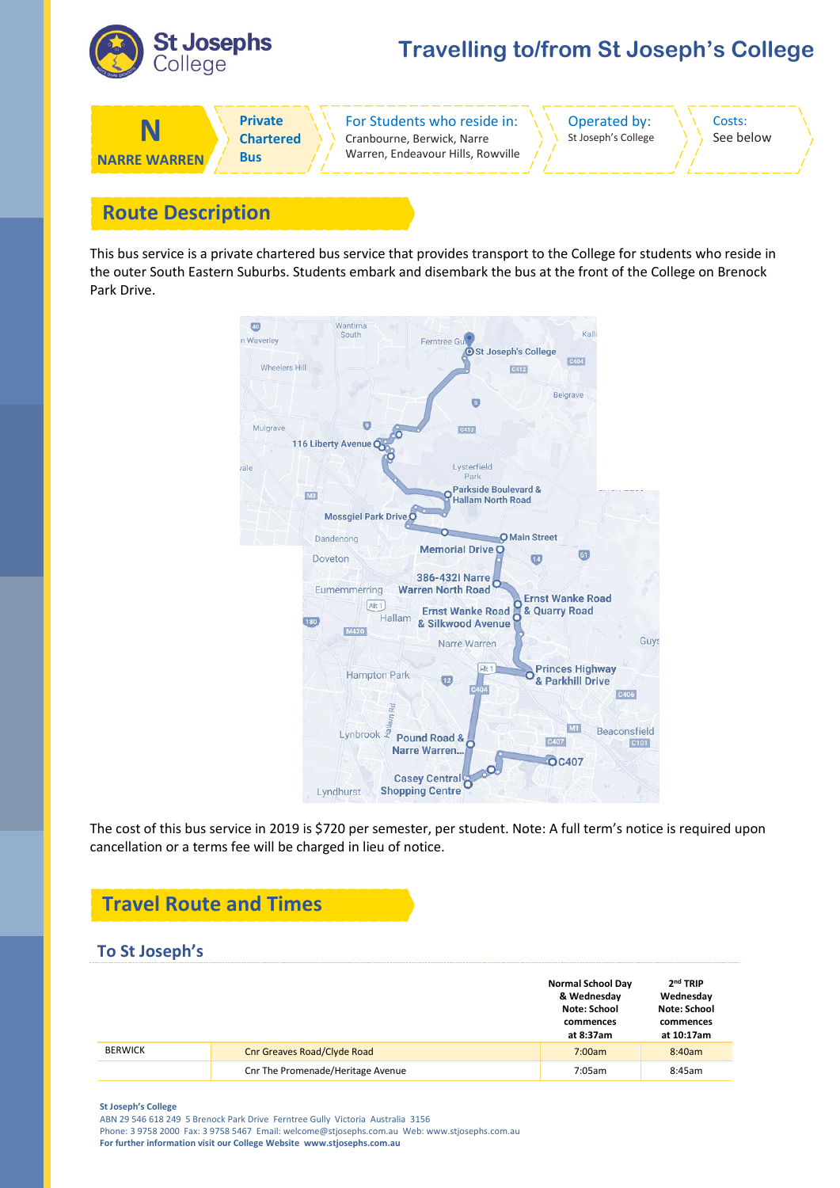

## **Travelling to/from St Joseph's College**



## **Route Description**

This bus service is a private chartered bus service that provides transport to the College for students who reside in the outer South Eastern Suburbs. Students embark and disembark the bus at the front of the College on Brenock Park Drive.



The cost of this bus service in 2019 is \$720 per semester, per student. Note: A full term's notice is required upon cancellation or a terms fee will be charged in lieu of notice.

## **Travel Route and Times**

#### **To St Joseph's**

|                |                                   | <b>Normal School Day</b><br>& Wednesday<br>Note: School<br>commences<br>at 8:37am | $2nd$ TRIP<br>Wednesday<br>Note: School<br>commences<br>at 10:17am |
|----------------|-----------------------------------|-----------------------------------------------------------------------------------|--------------------------------------------------------------------|
| <b>BERWICK</b> | Cnr Greaves Road/Clyde Road       | 7:00am                                                                            | 8:40am                                                             |
|                | Cnr The Promenade/Heritage Avenue | 7:05am                                                                            | 8:45am                                                             |

**St Joseph's College**

ABN 29 546 618 249 5 Brenock Park Drive Ferntree Gully Victoria Australia 3156 Phone: 3 9758 2000 Fax: 3 9758 5467 Email: welcome@stjosephs.com.au Web: www.stjosephs.com.au **For further information visit our College Website www.stjosephs.com.au**